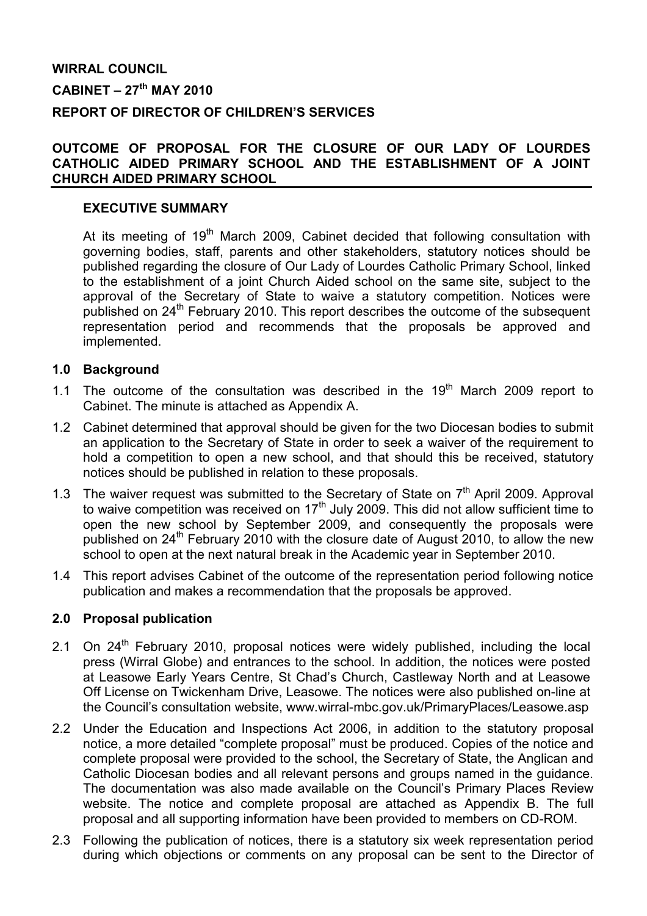# WIRRAL COUNCIL  $CABINET - 27<sup>th</sup> MAY 2010$ REPORT OF DIRECTOR OF CHILDREN'S SERVICES

### OUTCOME OF PROPOSAL FOR THE CLOSURE OF OUR LADY OF LOURDES CATHOLIC AIDED PRIMARY SCHOOL AND THE ESTABLISHMENT OF A JOINT CHURCH AIDED PRIMARY SCHOOL

#### EXECUTIVE SUMMARY

At its meeting of 19<sup>th</sup> March 2009, Cabinet decided that following consultation with governing bodies, staff, parents and other stakeholders, statutory notices should be published regarding the closure of Our Lady of Lourdes Catholic Primary School, linked to the establishment of a joint Church Aided school on the same site, subject to the approval of the Secretary of State to waive a statutory competition. Notices were published on 24<sup>th</sup> February 2010. This report describes the outcome of the subsequent representation period and recommends that the proposals be approved and implemented.

#### 1.0 Background

- 1.1 The outcome of the consultation was described in the  $19<sup>th</sup>$  March 2009 report to Cabinet. The minute is attached as Appendix A.
- 1.2 Cabinet determined that approval should be given for the two Diocesan bodies to submit an application to the Secretary of State in order to seek a waiver of the requirement to hold a competition to open a new school, and that should this be received, statutory notices should be published in relation to these proposals.
- 1.3 The waiver request was submitted to the Secretary of State on  $7<sup>th</sup>$  April 2009. Approval to waive competition was received on  $17<sup>th</sup>$  July 2009. This did not allow sufficient time to open the new school by September 2009, and consequently the proposals were published on  $24<sup>th</sup>$  February 2010 with the closure date of August 2010, to allow the new school to open at the next natural break in the Academic year in September 2010.
- 1.4 This report advises Cabinet of the outcome of the representation period following notice publication and makes a recommendation that the proposals be approved.

#### 2.0 Proposal publication

- 2.1 On 24<sup>th</sup> February 2010, proposal notices were widely published, including the local press (Wirral Globe) and entrances to the school. In addition, the notices were posted at Leasowe Early Years Centre, St Chad's Church, Castleway North and at Leasowe Off License on Twickenham Drive, Leasowe. The notices were also published on-line at the Council's consultation website, www.wirral-mbc.gov.uk/PrimaryPlaces/Leasowe.asp
- 2.2 Under the Education and Inspections Act 2006, in addition to the statutory proposal notice, a more detailed "complete proposal" must be produced. Copies of the notice and complete proposal were provided to the school, the Secretary of State, the Anglican and Catholic Diocesan bodies and all relevant persons and groups named in the guidance. The documentation was also made available on the Council's Primary Places Review website. The notice and complete proposal are attached as Appendix B. The full proposal and all supporting information have been provided to members on CD-ROM.
- 2.3 Following the publication of notices, there is a statutory six week representation period during which objections or comments on any proposal can be sent to the Director of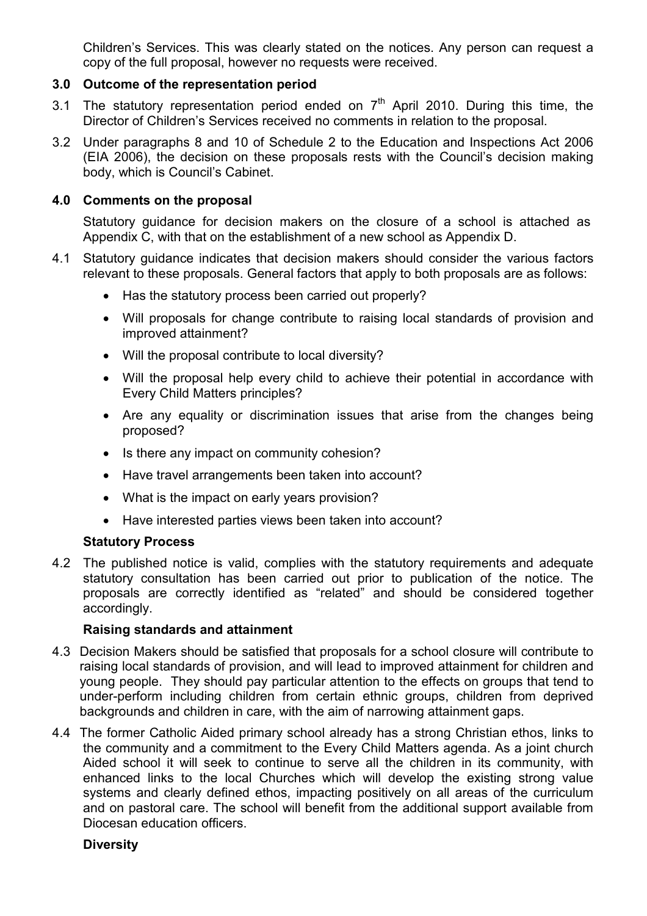Children's Services. This was clearly stated on the notices. Any person can request a copy of the full proposal, however no requests were received.

## 3.0 Outcome of the representation period

- 3.1 The statutory representation period ended on  $7<sup>th</sup>$  April 2010. During this time, the Director of Children's Services received no comments in relation to the proposal.
- 3.2 Under paragraphs 8 and 10 of Schedule 2 to the Education and Inspections Act 2006 (EIA 2006), the decision on these proposals rests with the Council's decision making body, which is Council's Cabinet.

#### 4.0 Comments on the proposal

 Statutory guidance for decision makers on the closure of a school is attached as Appendix C, with that on the establishment of a new school as Appendix D.

- 4.1 Statutory guidance indicates that decision makers should consider the various factors relevant to these proposals. General factors that apply to both proposals are as follows:
	- Has the statutory process been carried out properly?
	- Will proposals for change contribute to raising local standards of provision and improved attainment?
	- Will the proposal contribute to local diversity?
	- Will the proposal help every child to achieve their potential in accordance with Every Child Matters principles?
	- Are any equality or discrimination issues that arise from the changes being proposed?
	- Is there any impact on community cohesion?
	- Have travel arrangements been taken into account?
	- What is the impact on early years provision?
	- Have interested parties views been taken into account?

#### Statutory Process

4.2 The published notice is valid, complies with the statutory requirements and adequate statutory consultation has been carried out prior to publication of the notice. The proposals are correctly identified as "related" and should be considered together accordingly.

#### Raising standards and attainment

- 4.3 Decision Makers should be satisfied that proposals for a school closure will contribute to raising local standards of provision, and will lead to improved attainment for children and young people. They should pay particular attention to the effects on groups that tend to under-perform including children from certain ethnic groups, children from deprived backgrounds and children in care, with the aim of narrowing attainment gaps.
- 4.4 The former Catholic Aided primary school already has a strong Christian ethos, links to the community and a commitment to the Every Child Matters agenda. As a joint church Aided school it will seek to continue to serve all the children in its community, with enhanced links to the local Churches which will develop the existing strong value systems and clearly defined ethos, impacting positively on all areas of the curriculum and on pastoral care. The school will benefit from the additional support available from Diocesan education officers.

#### **Diversity**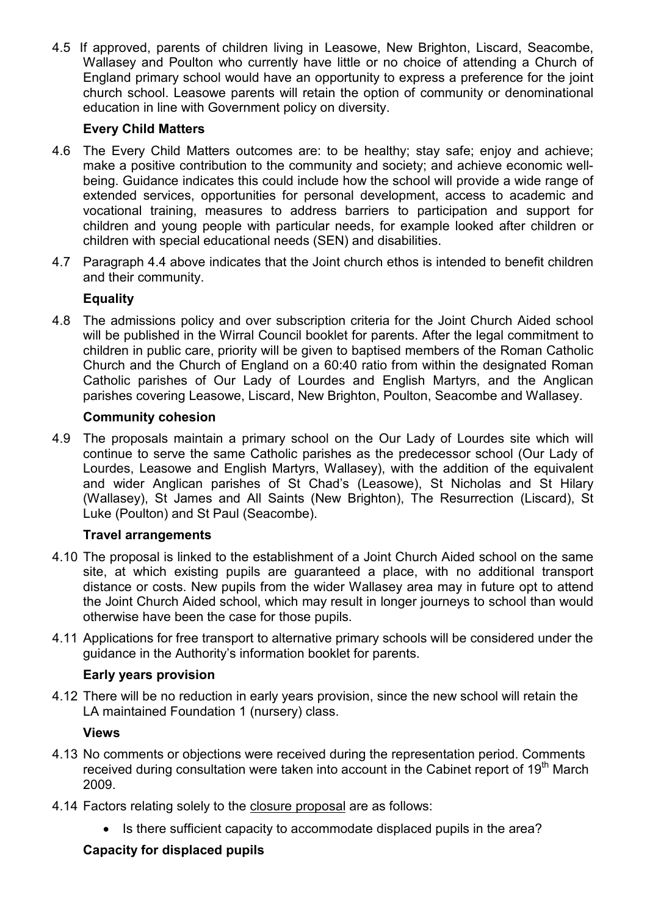4.5 If approved, parents of children living in Leasowe, New Brighton, Liscard, Seacombe, Wallasey and Poulton who currently have little or no choice of attending a Church of England primary school would have an opportunity to express a preference for the joint church school. Leasowe parents will retain the option of community or denominational education in line with Government policy on diversity.

# Every Child Matters

- 4.6 The Every Child Matters outcomes are: to be healthy; stay safe; enjoy and achieve; make a positive contribution to the community and society; and achieve economic wellbeing. Guidance indicates this could include how the school will provide a wide range of extended services, opportunities for personal development, access to academic and vocational training, measures to address barriers to participation and support for children and young people with particular needs, for example looked after children or children with special educational needs (SEN) and disabilities.
- 4.7 Paragraph 4.4 above indicates that the Joint church ethos is intended to benefit children and their community.

# Equality

4.8 The admissions policy and over subscription criteria for the Joint Church Aided school will be published in the Wirral Council booklet for parents. After the legal commitment to children in public care, priority will be given to baptised members of the Roman Catholic Church and the Church of England on a 60:40 ratio from within the designated Roman Catholic parishes of Our Lady of Lourdes and English Martyrs, and the Anglican parishes covering Leasowe, Liscard, New Brighton, Poulton, Seacombe and Wallasey.

# Community cohesion

4.9 The proposals maintain a primary school on the Our Lady of Lourdes site which will continue to serve the same Catholic parishes as the predecessor school (Our Lady of Lourdes, Leasowe and English Martyrs, Wallasey), with the addition of the equivalent and wider Anglican parishes of St Chad's (Leasowe), St Nicholas and St Hilary (Wallasey), St James and All Saints (New Brighton), The Resurrection (Liscard), St Luke (Poulton) and St Paul (Seacombe).

# Travel arrangements

- 4.10 The proposal is linked to the establishment of a Joint Church Aided school on the same site, at which existing pupils are guaranteed a place, with no additional transport distance or costs. New pupils from the wider Wallasey area may in future opt to attend the Joint Church Aided school, which may result in longer journeys to school than would otherwise have been the case for those pupils.
- 4.11 Applications for free transport to alternative primary schools will be considered under the guidance in the Authority's information booklet for parents.

# Early years provision

4.12 There will be no reduction in early years provision, since the new school will retain the LA maintained Foundation 1 (nursery) class.

# Views

- 4.13 No comments or objections were received during the representation period. Comments received during consultation were taken into account in the Cabinet report of 19<sup>th</sup> March 2009.
- 4.14 Factors relating solely to the closure proposal are as follows:
	- Is there sufficient capacity to accommodate displaced pupils in the area?

# Capacity for displaced pupils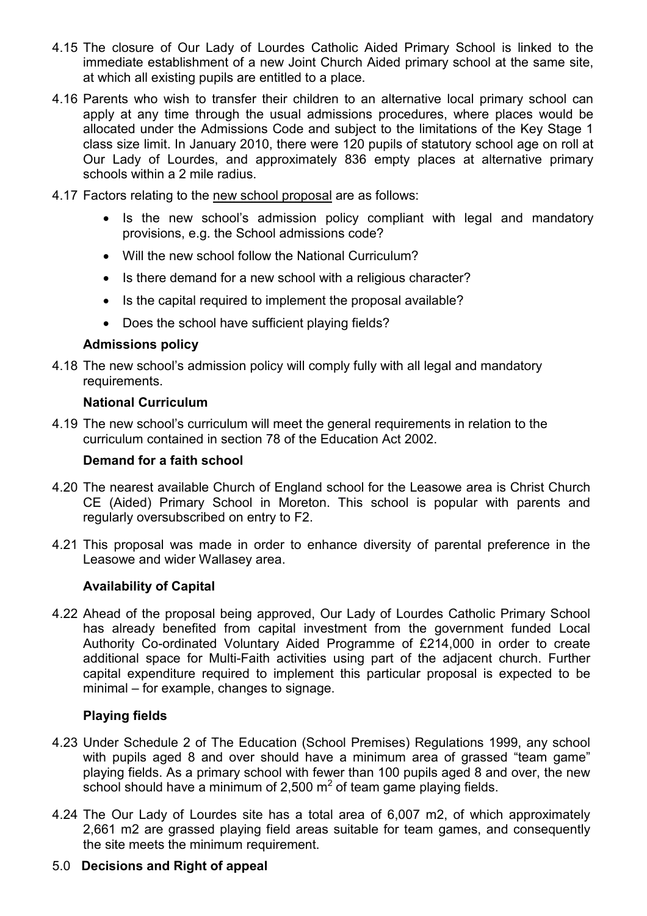- 4.15 The closure of Our Lady of Lourdes Catholic Aided Primary School is linked to the immediate establishment of a new Joint Church Aided primary school at the same site, at which all existing pupils are entitled to a place.
- 4.16 Parents who wish to transfer their children to an alternative local primary school can apply at any time through the usual admissions procedures, where places would be allocated under the Admissions Code and subject to the limitations of the Key Stage 1 class size limit. In January 2010, there were 120 pupils of statutory school age on roll at Our Lady of Lourdes, and approximately 836 empty places at alternative primary schools within a 2 mile radius.
- 4.17 Factors relating to the new school proposal are as follows:
	- Is the new school's admission policy compliant with legal and mandatory provisions, e.g. the School admissions code?
	- Will the new school follow the National Curriculum?
	- Is there demand for a new school with a religious character?
	- Is the capital required to implement the proposal available?
	- Does the school have sufficient playing fields?

#### Admissions policy

4.18 The new school's admission policy will comply fully with all legal and mandatory requirements.

#### National Curriculum

4.19 The new school's curriculum will meet the general requirements in relation to the curriculum contained in section 78 of the Education Act 2002.

#### Demand for a faith school

- 4.20 The nearest available Church of England school for the Leasowe area is Christ Church CE (Aided) Primary School in Moreton. This school is popular with parents and regularly oversubscribed on entry to F2.
- 4.21 This proposal was made in order to enhance diversity of parental preference in the Leasowe and wider Wallasey area.

#### Availability of Capital

4.22 Ahead of the proposal being approved, Our Lady of Lourdes Catholic Primary School has already benefited from capital investment from the government funded Local Authority Co-ordinated Voluntary Aided Programme of £214,000 in order to create additional space for Multi-Faith activities using part of the adjacent church. Further capital expenditure required to implement this particular proposal is expected to be minimal – for example, changes to signage.

#### Playing fields

- 4.23 Under Schedule 2 of The Education (School Premises) Regulations 1999, any school with pupils aged 8 and over should have a minimum area of grassed "team game" playing fields. As a primary school with fewer than 100 pupils aged 8 and over, the new school should have a minimum of 2,500  $m^2$  of team game playing fields.
- 4.24 The Our Lady of Lourdes site has a total area of 6,007 m2, of which approximately 2,661 m2 are grassed playing field areas suitable for team games, and consequently the site meets the minimum requirement.

# 5.0 Decisions and Right of appeal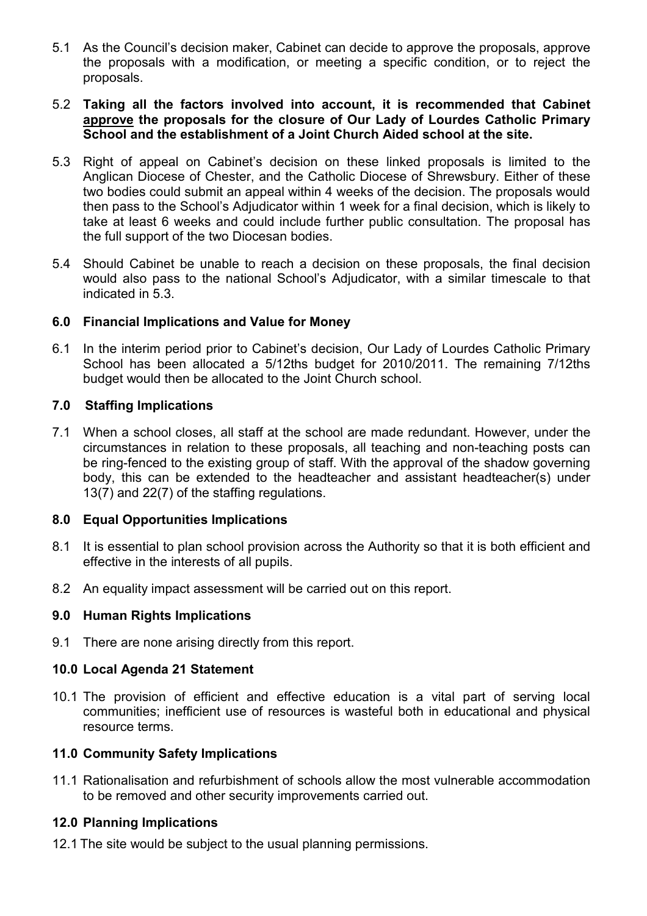- 5.1 As the Council's decision maker, Cabinet can decide to approve the proposals, approve the proposals with a modification, or meeting a specific condition, or to reject the proposals.
- 5.2 Taking all the factors involved into account, it is recommended that Cabinet approve the proposals for the closure of Our Lady of Lourdes Catholic Primary School and the establishment of a Joint Church Aided school at the site.
- 5.3 Right of appeal on Cabinet's decision on these linked proposals is limited to the Anglican Diocese of Chester, and the Catholic Diocese of Shrewsbury. Either of these two bodies could submit an appeal within 4 weeks of the decision. The proposals would then pass to the School's Adjudicator within 1 week for a final decision, which is likely to take at least 6 weeks and could include further public consultation. The proposal has the full support of the two Diocesan bodies.
- 5.4 Should Cabinet be unable to reach a decision on these proposals, the final decision would also pass to the national School's Adjudicator, with a similar timescale to that indicated in 5.3.

#### 6.0 Financial Implications and Value for Money

6.1 In the interim period prior to Cabinet's decision, Our Lady of Lourdes Catholic Primary School has been allocated a 5/12ths budget for 2010/2011. The remaining 7/12ths budget would then be allocated to the Joint Church school.

## 7.0 Staffing Implications

7.1 When a school closes, all staff at the school are made redundant. However, under the circumstances in relation to these proposals, all teaching and non-teaching posts can be ring-fenced to the existing group of staff. With the approval of the shadow governing body, this can be extended to the headteacher and assistant headteacher(s) under 13(7) and 22(7) of the staffing regulations.

# 8.0 Equal Opportunities Implications

- 8.1 It is essential to plan school provision across the Authority so that it is both efficient and effective in the interests of all pupils.
- 8.2 An equality impact assessment will be carried out on this report.

#### 9.0 Human Rights Implications

9.1 There are none arising directly from this report.

#### 10.0 Local Agenda 21 Statement

10.1 The provision of efficient and effective education is a vital part of serving local communities; inefficient use of resources is wasteful both in educational and physical resource terms.

#### 11.0 Community Safety Implications

11.1 Rationalisation and refurbishment of schools allow the most vulnerable accommodation to be removed and other security improvements carried out.

#### 12.0 Planning Implications

12.1 The site would be subject to the usual planning permissions.